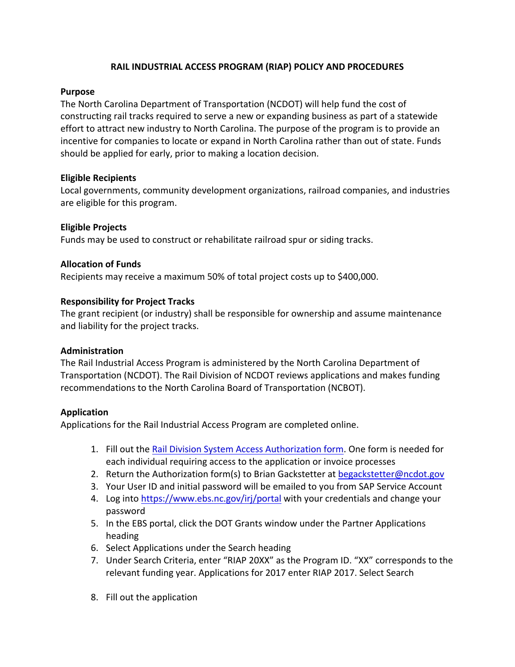# **RAIL INDUSTRIAL ACCESS PROGRAM (RIAP) POLICY AND PROCEDURES**

### **Purpose**

The North Carolina Department of Transportation (NCDOT) will help fund the cost of constructing rail tracks required to serve a new or expanding business as part of a statewide effort to attract new industry to North Carolina. The purpose of the program is to provide an incentive for companies to locate or expand in North Carolina rather than out of state. Funds should be applied for early, prior to making a location decision.

## **Eligible Recipients**

Local governments, community development organizations, railroad companies, and industries are eligible for this program.

## **Eligible Projects**

Funds may be used to construct or rehabilitate railroad spur or siding tracks.

### **Allocation of Funds**

Recipients may receive a maximum 50% of total project costs up to \$400,000.

### **Responsibility for Project Tracks**

The grant recipient (or industry) shall be responsible for ownership and assume maintenance and liability for the project tracks.

#### **Administration**

The Rail Industrial Access Program is administered by the North Carolina Department of Transportation (NCDOT). The Rail Division of NCDOT reviews applications and makes funding recommendations to the North Carolina Board of Transportation (NCBOT).

#### **Application**

Applications for the Rail Industrial Access Program are completed online.

- 1. Fill out the [Rail Division System Access Authorization form.](https://connect.ncdot.gov/resources/Rail-Division-Resources/Documents/NCDOT%20Rail%20Division%20System%20Access%20Authorization%20Form.pdf) One form is needed for each individual requiring access to the application or invoice processes
- 2. Return the Authorization form(s) to Brian Gackstetter at [begackstetter@ncdot.gov](mailto:begackstetter@ncdot.gov)
- 3. Your User ID and initial password will be emailed to you from SAP Service Account
- 4. Log into<https://www.ebs.nc.gov/irj/portal> with your credentials and change your password
- 5. In the EBS portal, click the DOT Grants window under the Partner Applications heading
- 6. Select Applications under the Search heading
- 7. Under Search Criteria, enter "RIAP 20XX" as the Program ID. "XX" corresponds to the relevant funding year. Applications for 2017 enter RIAP 2017. Select Search
- 8. Fill out the application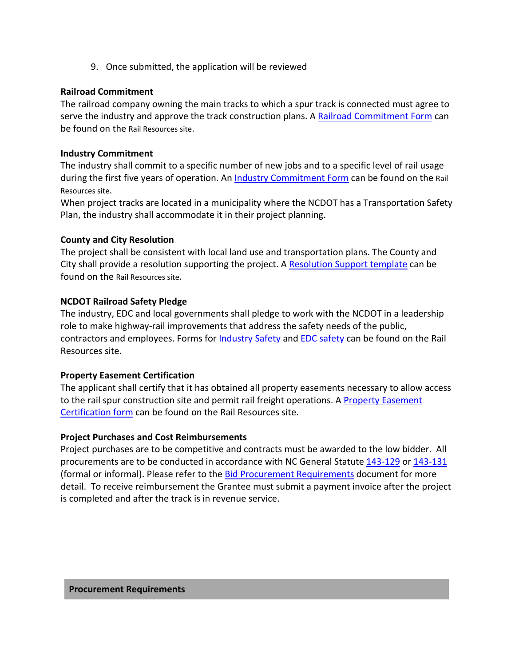9. Once submitted, the application will be reviewed

#### **Railroad Commitment**

The railroad company owning the main tracks to which a spur track is connected must agree to serve the industry and approve the track construction plans. A [Railroad Commitment](https://connect.ncdot.gov/resources/Rail-Division-Resources/Documents/NCDOT%20RIAP%20Railroad%20Commitment%20Form.pdf) Form can be found on the Rail Resources site.

### **Industry Commitment**

The industry shall commit to a specific number of new jobs and to a specific level of rail usage during the first five years of operation. An [Industry Commitment Form](https://connect.ncdot.gov/resources/Rail-Division-Resources/Documents/NCDOT%20RIAP%20Industry%20Commitment%20Form.pdf) can be found on the Rail Resources site.

When project tracks are located in a municipality where the NCDOT has a Transportation Safety Plan, the industry shall accommodate it in their project planning.

### **County and City Resolution**

The project shall be consistent with local land use and transportation plans. The County and City shall provide a resolution supporting the project. A [Resolution Support template](https://connect.ncdot.gov/resources/Rail-Division-Resources/Documents/NCDOT%20RIAP%20Resolution%20Example%20(Local%20Government).pdf) can be found on the Rail Resources site.

## **NCDOT Railroad Safety Pledge**

The industry, EDC and local governments shall pledge to work with the NCDOT in a leadership role to make highway-rail improvements that address the safety needs of the public, contractors and employees. Forms for [Industry Safety](https://connect.ncdot.gov/resources/Rail-Division-Resources/Documents/NCDOT%20RIAP%20Industry%20Safety%20Pledge.pdf) and [EDC safety](https://connect.ncdot.gov/resources/Rail-Division-Resources/Documents/NCDOT%20RIAP%20EDC%20Safety%20Plede%20Form.pdf) can be found on the Rail Resources site.

#### **Property Easement Certification**

The applicant shall certify that it has obtained all property easements necessary to allow access to the rail spur construction site and permit rail freight operations. A [Property Easement](https://connect.ncdot.gov/resources/Rail-Division-Resources/Documents/NCDOT%20RIAP%20Property%20Easement%20Certification%20Form.pdf)  [Certification form](https://connect.ncdot.gov/resources/Rail-Division-Resources/Documents/NCDOT%20RIAP%20Property%20Easement%20Certification%20Form.pdf) can be found on the Rail Resources site.

## **Project Purchases and Cost Reimbursements**

Project purchases are to be competitive and contracts must be awarded to the low bidder. All procurements are to be conducted in accordance with NC General Statute [143-129](http://www.ncleg.net/gascripts/statutes/statutelookup.pl?statute=143-129) or [143-131](http://www.ncleg.net/gascripts/statutes/statutelookup.pl?statute=143-129) (formal or informal). Please refer to the [Bid Procurement Requirements](https://connect.ncdot.gov/resources/Rail-Division-Resources/Documents/NCDOT%20RIAP%20Bid%20Procurement%20Requirements.pdf) document for more detail. To receive reimbursement the Grantee must submit a payment invoice after the project is completed and after the track is in revenue service.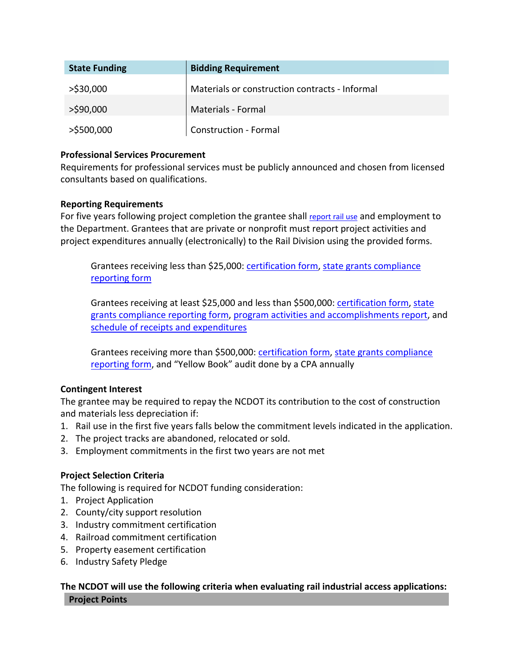| <b>State Funding</b> | <b>Bidding Requirement</b>                     |
|----------------------|------------------------------------------------|
| $>$ \$30,000         | Materials or construction contracts - Informal |
| $>$ \$90,000         | Materials - Formal                             |
| >\$500,000           | <b>Construction - Formal</b>                   |

## **Professional Services Procurement**

Requirements for professional services must be publicly announced and chosen from licensed consultants based on qualifications.

### **Reporting Requirements**

For five years following project completion the grantee shall [report rail use](https://connect.ncdot.gov/resources/Rail-Division-Resources/Documents/NCDOT%20RIAP%20Project%20Monitoring%20Form.pdf) and employment to the Department. Grantees that are private or nonprofit must report project activities and project expenditures annually (electronically) to the Rail Division using the provided forms.

Grantees receiving less than \$25,000: [certification form,](https://connect.ncdot.gov/resources/Rail-Division-Resources/Documents/State%20Grant%20Certification%20and%20Sworn%20Statement%20-%20RIAP.pdf) [state grants compliance](https://connect.ncdot.gov/resources/Rail-Division-Resources/Documents/State%20Grants%20Compliance%20Reporting%20Under%2025K%20-%20RIAP.pdf)  [reporting form](https://connect.ncdot.gov/resources/Rail-Division-Resources/Documents/State%20Grants%20Compliance%20Reporting%20Under%2025K%20-%20RIAP.pdf)

Grantees receiving at least \$25,000 and less than \$500,000: [certification form,](https://connect.ncdot.gov/resources/Rail-Division-Resources/Documents/State%20Grant%20Certification%20and%20Sworn%20Statement%20-%20RIAP.pdf) [state](https://connect.ncdot.gov/resources/Rail-Division-Resources/Documents/State%20Grants%20Compliance%20Reporting%2025K%20or%20more%20-%20RIAP.pdf)  [grants compliance reporting form,](https://connect.ncdot.gov/resources/Rail-Division-Resources/Documents/State%20Grants%20Compliance%20Reporting%2025K%20or%20more%20-%20RIAP.pdf) [program activities and accomplishments report,](https://connect.ncdot.gov/resources/Rail-Division-Resources/Documents/Program%20Activities%20and%20Accomplishments%20-%20RIAP.pdf) and [schedule of receipts and expenditures](https://connect.ncdot.gov/resources/Rail-Division-Resources/Documents/Schedule%20of%20Receipts%20and%20Expenditures%20-%20RIAP.pdf)

Grantees receiving more than \$500,000: [certification form,](https://connect.ncdot.gov/resources/Rail-Division-Resources/Documents/State%20Grant%20Certification%20and%20Sworn%20Statement%20-%20RIAP.pdf) [state grants compliance](https://connect.ncdot.gov/resources/Rail-Division-Resources/Documents/State%20Grants%20Compliance%20Reporting%20500K%20or%20more%20-%20RIAP.pdf)  [reporting form,](https://connect.ncdot.gov/resources/Rail-Division-Resources/Documents/State%20Grants%20Compliance%20Reporting%20500K%20or%20more%20-%20RIAP.pdf) and "Yellow Book" audit done by a CPA annually

## **Contingent Interest**

The grantee may be required to repay the NCDOT its contribution to the cost of construction and materials less depreciation if:

- 1. Rail use in the first five years falls below the commitment levels indicated in the application.
- 2. The project tracks are abandoned, relocated or sold.
- 3. Employment commitments in the first two years are not met

#### **Project Selection Criteria**

The following is required for NCDOT funding consideration:

- 1. Project Application
- 2. County/city support resolution
- 3. Industry commitment certification
- 4. Railroad commitment certification
- 5. Property easement certification
- 6. Industry Safety Pledge

## **The NCDOT will use the following criteria when evaluating rail industrial access applications: Project Points**